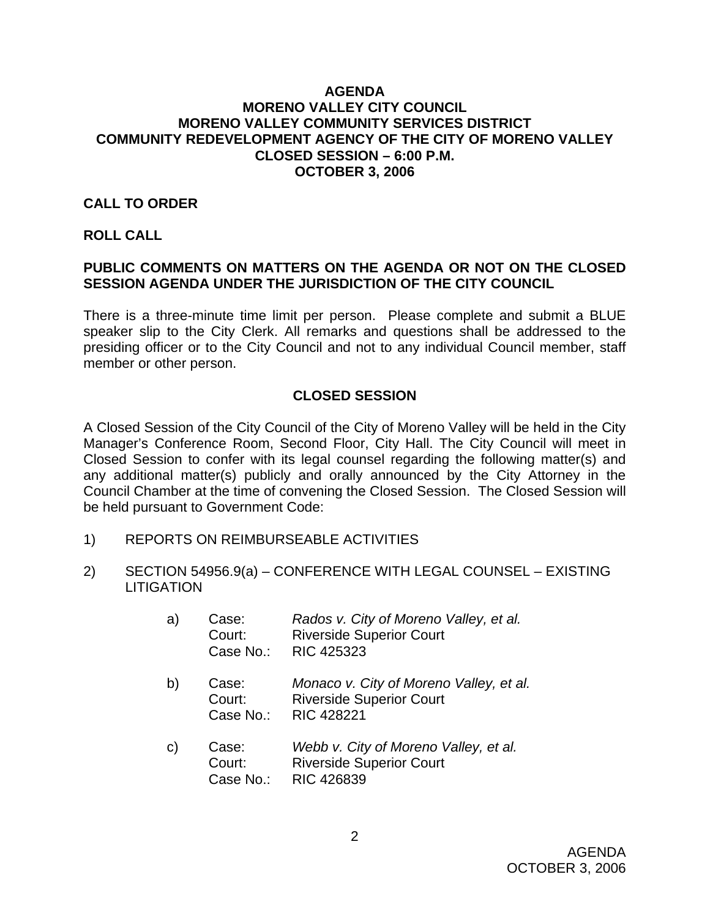#### **AGENDA MORENO VALLEY CITY COUNCIL MORENO VALLEY COMMUNITY SERVICES DISTRICT COMMUNITY REDEVELOPMENT AGENCY OF THE CITY OF MORENO VALLEY CLOSED SESSION – 6:00 P.M. OCTOBER 3, 2006**

#### **CALL TO ORDER**

#### **ROLL CALL**

## **PUBLIC COMMENTS ON MATTERS ON THE AGENDA OR NOT ON THE CLOSED SESSION AGENDA UNDER THE JURISDICTION OF THE CITY COUNCIL**

There is a three-minute time limit per person. Please complete and submit a BLUE speaker slip to the City Clerk. All remarks and questions shall be addressed to the presiding officer or to the City Council and not to any individual Council member, staff member or other person.

### **CLOSED SESSION**

A Closed Session of the City Council of the City of Moreno Valley will be held in the City Manager's Conference Room, Second Floor, City Hall. The City Council will meet in Closed Session to confer with its legal counsel regarding the following matter(s) and any additional matter(s) publicly and orally announced by the City Attorney in the Council Chamber at the time of convening the Closed Session. The Closed Session will be held pursuant to Government Code:

- 1) REPORTS ON REIMBURSEABLE ACTIVITIES
- 2) SECTION 54956.9(a) CONFERENCE WITH LEGAL COUNSEL EXISTING **LITIGATION** 
	- a) Case: *Rados v. City of Moreno Valley, et al.*  Court: Riverside Superior Court Case No.: RIC 425323
	- b) Case: *Monaco v. City of Moreno Valley, et al.*  Court: Riverside Superior Court Case No.: RIC 428221
	- c) Case: *Webb v. City of Moreno Valley, et al.*  Court: Riverside Superior Court Case No.: RIC 426839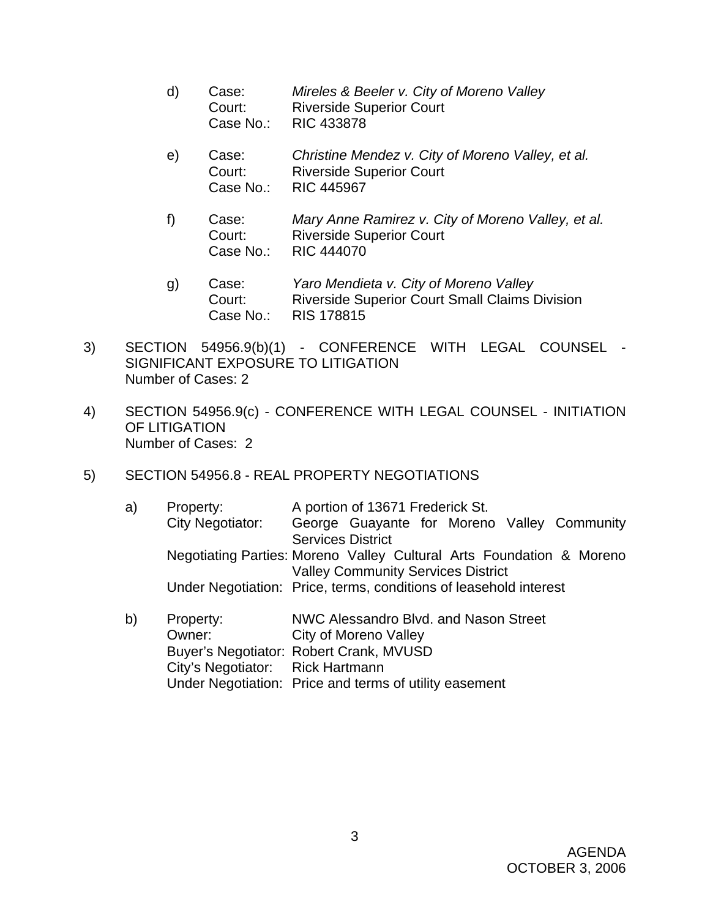- d) Case: *Mireles & Beeler v. City of Moreno Valley*  Court: Riverside Superior Court Case No.: RIC 433878
- e) Case: *Christine Mendez v. City of Moreno Valley, et al.*  Court: Riverside Superior Court Case No.: RIC 445967
- f) Case: *Mary Anne Ramirez v. City of Moreno Valley, et al.*  Court: Riverside Superior Court Case No.: RIC 444070
- g) Case: *Yaro Mendieta v. City of Moreno Valley* Court: Riverside Superior Court Small Claims Division Case No.: RIS 178815
- 3) SECTION 54956.9(b)(1) CONFERENCE WITH LEGAL COUNSEL SIGNIFICANT EXPOSURE TO LITIGATION Number of Cases: 2
- 4) SECTION 54956.9(c) CONFERENCE WITH LEGAL COUNSEL INITIATION OF LITIGATION Number of Cases: 2
- 5) SECTION 54956.8 REAL PROPERTY NEGOTIATIONS

| a) | Property:            | A portion of 13671 Frederick St.                                     |
|----|----------------------|----------------------------------------------------------------------|
|    | City Negotiator:     | George Guayante for Moreno Valley Community                          |
|    |                      | <b>Services District</b>                                             |
|    |                      | Negotiating Parties: Moreno Valley Cultural Arts Foundation & Moreno |
|    |                      | <b>Valley Community Services District</b>                            |
|    |                      | Under Negotiation: Price, terms, conditions of leasehold interest    |
|    |                      |                                                                      |
| b) | Property:            | NWC Alessandro Blvd. and Nason Street                                |
|    | $\sim$ $\sim$ $\sim$ | <b>____________________________</b>                                  |

 Owner: City of Moreno Valley Buyer's Negotiator: Robert Crank, MVUSD City's Negotiator: Rick Hartmann Under Negotiation: Price and terms of utility easement